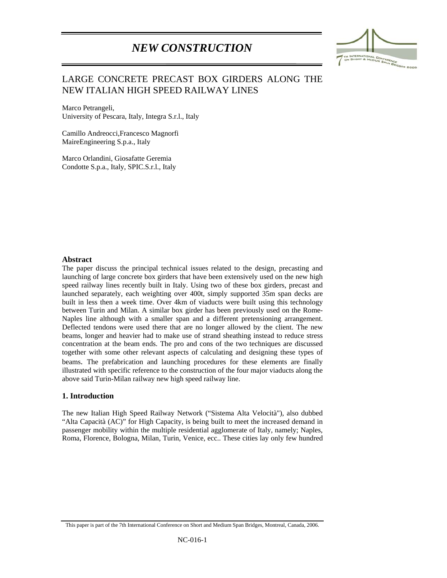# *NEW CONSTRUCTION*



# LARGE CONCRETE PRECAST BOX GIRDERS ALONG THE NEW ITALIAN HIGH SPEED RAILWAY LINES

Marco Petrangeli, University of Pescara, Italy, Integra S.r.l., Italy

Camillo Andreocci,Francesco Magnorfi MaireEngineering S.p.a., Italy

Marco Orlandini, Giosafatte Geremia Condotte S.p.a., Italy, SPIC.S.r.l., Italy

#### **Abstract**

:

The paper discuss the principal technical issues related to the design, precasting and launching of large concrete box girders that have been extensively used on the new high speed railway lines recently built in Italy. Using two of these box girders, precast and launched separately, each weighting over 400t, simply supported 35m span decks are built in less then a week time. Over 4km of viaducts were built using this technology between Turin and Milan. A similar box girder has been previously used on the Rome-Naples line although with a smaller span and a different pretensioning arrangement. Deflected tendons were used there that are no longer allowed by the client. The new beams, longer and heavier had to make use of strand sheathing instead to reduce stress concentration at the beam ends. The pro and cons of the two techniques are discussed together with some other relevant aspects of calculating and designing these types of beams. The prefabrication and launching procedures for these elements are finally illustrated with specific reference to the construction of the four major viaducts along the above said Turin-Milan railway new high speed railway line.

#### **1. Introduction**

The new Italian High Speed Railway Network ("Sistema Alta Velocità"), also dubbed "Alta Capacità (AC)" for High Capacity, is being built to meet the increased demand in passenger mobility within the multiple residential agglomerate of Italy, namely; Naples, Roma, Florence, Bologna, Milan, Turin, Venice, ecc.. These cities lay only few hundred

This paper is part of the 7th International Conference on Short and Medium Span Bridges, Montreal, Canada, 2006.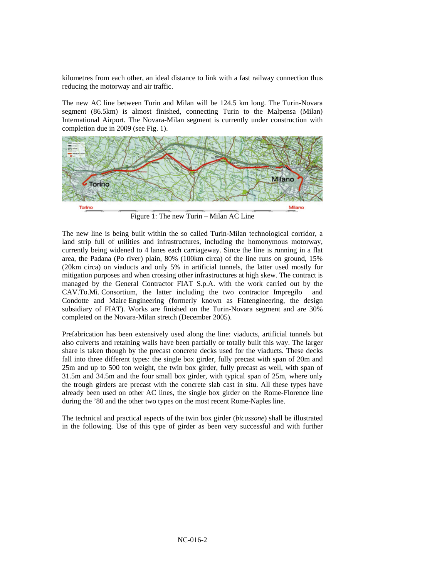kilometres from each other, an ideal distance to link with a fast railway connection thus reducing the motorway and air traffic.

The new AC line between Turin and Milan will be 124.5 km long. The Turin-Novara segment (86.5km) is almost finished, connecting Turin to the Malpensa (Milan) International Airport. The Novara-Milan segment is currently under construction with completion due in 2009 (see Fig. 1).



Figure 1: The new Turin – Milan AC Line

The new line is being built within the so called Turin-Milan technological corridor, a land strip full of utilities and infrastructures, including the homonymous motorway, currently being widened to 4 lanes each carriageway. Since the line is running in a flat area, the Padana (Po river) plain, 80% (100km circa) of the line runs on ground, 15% (20km circa) on viaducts and only 5% in artificial tunnels, the latter used mostly for mitigation purposes and when crossing other infrastructures at high skew. The contract is managed by the General Contractor FIAT S.p.A. with the work carried out by the CAV.To.Mi. Consortium, the latter including the two contractor Impregilo and Condotte and Maire Engineering (formerly known as Fiatengineering, the design subsidiary of FIAT). Works are finished on the Turin-Novara segment and are 30% completed on the Novara-Milan stretch (December 2005).

Prefabrication has been extensively used along the line: viaducts, artificial tunnels but also culverts and retaining walls have been partially or totally built this way. The larger share is taken though by the precast concrete decks used for the viaducts. These decks fall into three different types: the single box girder, fully precast with span of 20m and 25m and up to 500 ton weight, the twin box girder, fully precast as well, with span of 31.5m and 34.5m and the four small box girder, with typical span of 25m, where only the trough girders are precast with the concrete slab cast in situ. All these types have already been used on other AC lines, the single box girder on the Rome-Florence line during the '80 and the other two types on the most recent Rome-Naples line.

The technical and practical aspects of the twin box girder (*bicassone*) shall be illustrated in the following. Use of this type of girder as been very successful and with further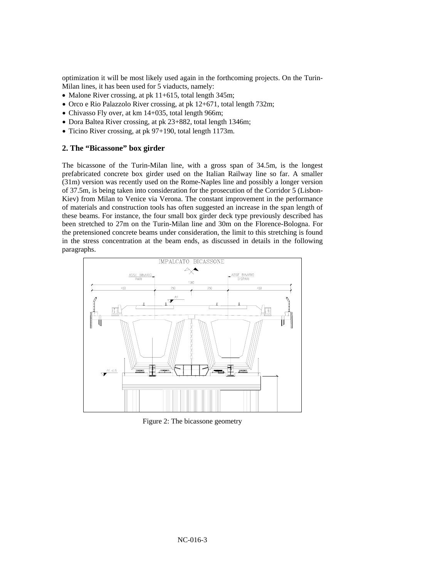optimization it will be most likely used again in the forthcoming projects. On the Turin-Milan lines, it has been used for 5 viaducts, namely:

- Malone River crossing, at pk 11+615, total length 345m;
- Orco e Rio Palazzolo River crossing, at pk 12+671, total length 732m;
- Chivasso Fly over, at km 14+035, total length 966m;
- Dora Baltea River crossing, at pk 23+882, total length 1346m;
- Ticino River crossing, at pk 97+190, total length 1173m.

#### **2. The "Bicassone" box girder**

The bicassone of the Turin-Milan line, with a gross span of 34.5m, is the longest prefabricated concrete box girder used on the Italian Railway line so far. A smaller (31m) version was recently used on the Rome-Naples line and possibly a longer version of 37.5m, is being taken into consideration for the prosecution of the Corridor 5 (Lisbon-Kiev) from Milan to Venice via Verona. The constant improvement in the performance of materials and construction tools has often suggested an increase in the span length of these beams. For instance, the four small box girder deck type previously described has been stretched to 27m on the Turin-Milan line and 30m on the Florence-Bologna. For the pretensioned concrete beams under consideration, the limit to this stretching is found in the stress concentration at the beam ends, as discussed in details in the following paragraphs.



Figure 2: The bicassone geometry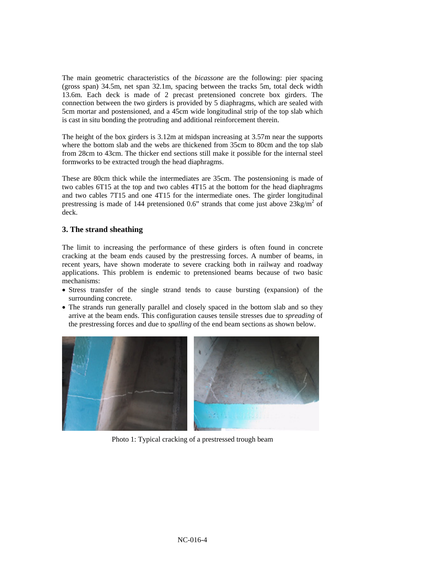The main geometric characteristics of the *bicassone* are the following: pier spacing (gross span) 34.5m, net span 32.1m, spacing between the tracks 5m, total deck width 13.6m. Each deck is made of 2 precast pretensioned concrete box girders. The connection between the two girders is provided by 5 diaphragms, which are sealed with 5cm mortar and postensioned, and a 45cm wide longitudinal strip of the top slab which is cast in situ bonding the protruding and additional reinforcement therein.

The height of the box girders is 3.12m at midspan increasing at 3.57m near the supports where the bottom slab and the webs are thickened from 35cm to 80cm and the top slab from 28cm to 43cm. The thicker end sections still make it possible for the internal steel formworks to be extracted trough the head diaphragms.

These are 80cm thick while the intermediates are 35cm. The postensioning is made of two cables 6T15 at the top and two cables 4T15 at the bottom for the head diaphragms and two cables 7T15 and one 4T15 for the intermediate ones. The girder longitudinal prestressing is made of 144 pretensioned 0.6" strands that come just above  $23\text{kg/m}^2$  of deck.

# **3. The strand sheathing**

The limit to increasing the performance of these girders is often found in concrete cracking at the beam ends caused by the prestressing forces. A number of beams, in recent years, have shown moderate to severe cracking both in railway and roadway applications. This problem is endemic to pretensioned beams because of two basic mechanisms:

- Stress transfer of the single strand tends to cause bursting (expansion) of the surrounding concrete.
- The strands run generally parallel and closely spaced in the bottom slab and so they arrive at the beam ends. This configuration causes tensile stresses due to *spreading* of the prestressing forces and due to *spalling* of the end beam sections as shown below.



Photo 1: Typical cracking of a prestressed trough beam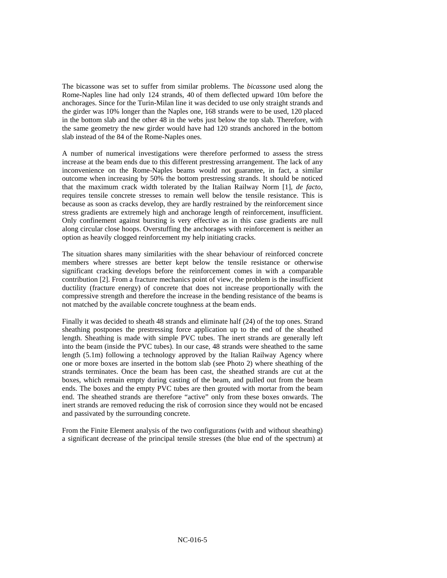The bicassone was set to suffer from similar problems. The *bicassone* used along the Rome-Naples line had only 124 strands, 40 of them deflected upward 10m before the anchorages. Since for the Turin-Milan line it was decided to use only straight strands and the girder was 10% longer than the Naples one, 168 strands were to be used, 120 placed in the bottom slab and the other 48 in the webs just below the top slab. Therefore, with the same geometry the new girder would have had 120 strands anchored in the bottom slab instead of the 84 of the Rome-Naples ones.

A number of numerical investigations were therefore performed to assess the stress increase at the beam ends due to this different prestressing arrangement. The lack of any inconvenience on the Rome-Naples beams would not guarantee, in fact, a similar outcome when increasing by 50% the bottom prestressing strands. It should be noticed that the maximum crack width tolerated by the Italian Railway Norm [1], *de facto*, requires tensile concrete stresses to remain well below the tensile resistance. This is because as soon as cracks develop, they are hardly restrained by the reinforcement since stress gradients are extremely high and anchorage length of reinforcement, insufficient. Only confinement against bursting is very effective as in this case gradients are null along circular close hoops. Overstuffing the anchorages with reinforcement is neither an option as heavily clogged reinforcement my help initiating cracks.

The situation shares many similarities with the shear behaviour of reinforced concrete members where stresses are better kept below the tensile resistance or otherwise significant cracking develops before the reinforcement comes in with a comparable contribution [2]. From a fracture mechanics point of view, the problem is the insufficient ductility (fracture energy) of concrete that does not increase proportionally with the compressive strength and therefore the increase in the bending resistance of the beams is not matched by the available concrete toughness at the beam ends.

Finally it was decided to sheath 48 strands and eliminate half (24) of the top ones. Strand sheathing postpones the prestressing force application up to the end of the sheathed length. Sheathing is made with simple PVC tubes. The inert strands are generally left into the beam (inside the PVC tubes). In our case, 48 strands were sheathed to the same length (5.1m) following a technology approved by the Italian Railway Agency where one or more boxes are inserted in the bottom slab (see Photo 2) where sheathing of the strands terminates. Once the beam has been cast, the sheathed strands are cut at the boxes, which remain empty during casting of the beam, and pulled out from the beam ends. The boxes and the empty PVC tubes are then grouted with mortar from the beam end. The sheathed strands are therefore "active" only from these boxes onwards. The inert strands are removed reducing the risk of corrosion since they would not be encased and passivated by the surrounding concrete.

From the Finite Element analysis of the two configurations (with and without sheathing) a significant decrease of the principal tensile stresses (the blue end of the spectrum) at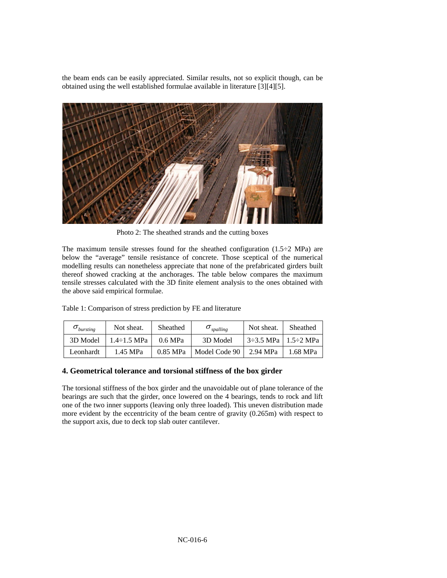the beam ends can be easily appreciated. Similar results, not so explicit though, can be obtained using the well established formulae available in literature [3][4][5].



Photo 2: The sheathed strands and the cutting boxes

The maximum tensile stresses found for the sheathed configuration  $(1.5\div2 \text{ MPa})$  are below the "average" tensile resistance of concrete. Those sceptical of the numerical modelling results can nonetheless appreciate that none of the prefabricated girders built thereof showed cracking at the anchorages. The table below compares the maximum tensile stresses calculated with the 3D finite element analysis to the ones obtained with the above said empirical formulae.

Table 1: Comparison of stress prediction by FE and literature

| $\sigma_{\text{bursting}}$ | Not sheat.         | Sheathed | $O_{spalling}$ | Not sheat.             | Sheathed |
|----------------------------|--------------------|----------|----------------|------------------------|----------|
| 3D Model                   | $1.4 \div 1.5$ MPa | 0.6 MPa  | 3D Model       | -3–3.5 MPa + 1.5–2 MPa |          |
| Leonhardt                  | 1.45 MPa           | 0.85 MPa | Model Code 90  | 2.94 MPa               | 1.68 MPa |

#### **4. Geometrical tolerance and torsional stiffness of the box girder**

The torsional stiffness of the box girder and the unavoidable out of plane tolerance of the bearings are such that the girder, once lowered on the 4 bearings, tends to rock and lift one of the two inner supports (leaving only three loaded). This uneven distribution made more evident by the eccentricity of the beam centre of gravity (0.265m) with respect to the support axis, due to deck top slab outer cantilever.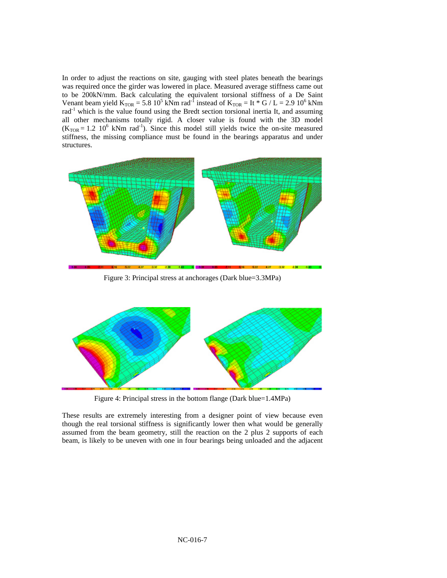In order to adjust the reactions on site, gauging with steel plates beneath the bearings was required once the girder was lowered in place. Measured average stiffness came out to be 200kN/mm. Back calculating the equivalent torsional stiffness of a De Saint Venant beam yield  $K_{TOR} = 5.8 \times 10^5 \text{ kNm} \text{ rad}^{-1}$  instead of  $K_{TOR} = \text{It} * G / L = 2.9 \times 10^6 \text{ kNm}$ rad-1 which is the value found using the Bredt section torsional inertia It, and assuming all other mechanisms totally rigid. A closer value is found with the 3D model  $(K<sub>TOR</sub> = 1.2 10<sup>6</sup>$  kNm rad<sup>-1</sup>). Since this model still yields twice the on-site measured stiffness, the missing compliance must be found in the bearings apparatus and under structures.



Figure 3: Principal stress at anchorages (Dark blue=3.3MPa)



Figure 4: Principal stress in the bottom flange (Dark blue=1.4MPa)

These results are extremely interesting from a designer point of view because even though the real torsional stiffness is significantly lower then what would be generally assumed from the beam geometry, still the reaction on the 2 plus 2 supports of each beam, is likely to be uneven with one in four bearings being unloaded and the adjacent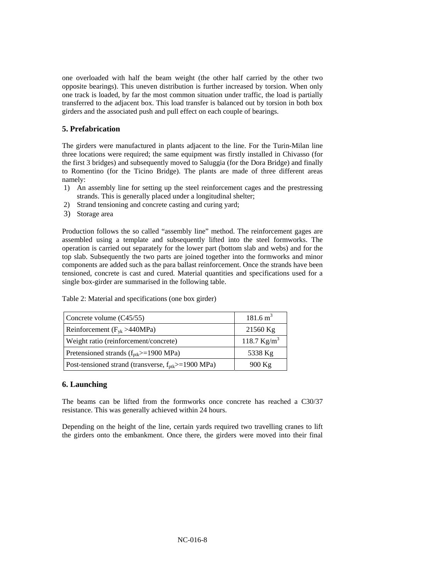one overloaded with half the beam weight (the other half carried by the other two opposite bearings). This uneven distribution is further increased by torsion. When only one track is loaded, by far the most common situation under traffic, the load is partially transferred to the adjacent box. This load transfer is balanced out by torsion in both box girders and the associated push and pull effect on each couple of bearings.

# **5. Prefabrication**

The girders were manufactured in plants adjacent to the line. For the Turin-Milan line three locations were required; the same equipment was firstly installed in Chivasso (for the first 3 bridges) and subsequently moved to Saluggia (for the Dora Bridge) and finally to Romentino (for the Ticino Bridge). The plants are made of three different areas namely:

- 1) An assembly line for setting up the steel reinforcement cages and the prestressing strands. This is generally placed under a longitudinal shelter;
- 2) Strand tensioning and concrete casting and curing yard;
- 3) Storage area

Production follows the so called "assembly line" method. The reinforcement gages are assembled using a template and subsequently lifted into the steel formworks. The operation is carried out separately for the lower part (bottom slab and webs) and for the top slab. Subsequently the two parts are joined together into the formworks and minor components are added such as the para ballast reinforcement. Once the strands have been tensioned, concrete is cast and cured. Material quantities and specifications used for a single box-girder are summarised in the following table.

|  | Table 2: Material and specifications (one box girder) |  |
|--|-------------------------------------------------------|--|
|  |                                                       |  |

| Concrete volume (C45/55)                                        | $181.6 \text{ m}^3$ |
|-----------------------------------------------------------------|---------------------|
| Reinforcement ( $F_{vk} > 440 MPa$ )                            | 21560 Kg            |
| Weight ratio (reinforcement/concrete)                           | 118.7 $Kg/m^3$      |
| Pretensioned strands $(f_{pt} \geq 1900 \text{ MPa})$           | 5338 Kg             |
| Post-tensioned strand (transverse, $f_{\text{ptk}}$ >=1900 MPa) | $900$ Kg            |

#### **6. Launching**

The beams can be lifted from the formworks once concrete has reached a C30/37 resistance. This was generally achieved within 24 hours.

Depending on the height of the line, certain yards required two travelling cranes to lift the girders onto the embankment. Once there, the girders were moved into their final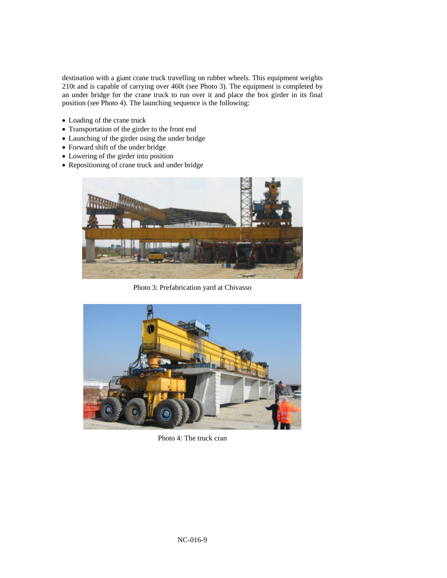destination with a giant crane truck travelling on rubber wheels. This equipment weights 210t and is capable of carrying over 460t (see Photo 3). The equipment is completed by an under bridge for the crane truck to run over it and place the box girder in its final position (see Photo 4). The launching sequence is the following:

- Loading of the crane truck
- Transportation of the girder to the front end
- Launching of the girder using the under bridge
- Forward shift of the under bridge
- Lowering of the girder into position
- Repositioning of crane truck and under bridge



Photo 3: Prefabrication yard at Chivasso



Photo 4: The truck cran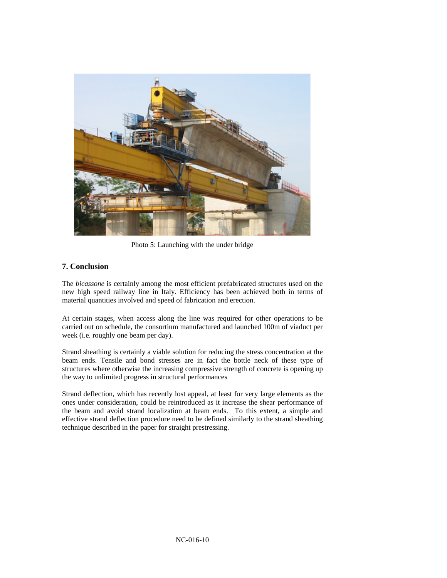

Photo 5: Launching with the under bridge

# **7. Conclusion**

The *bicassone* is certainly among the most efficient prefabricated structures used on the new high speed railway line in Italy. Efficiency has been achieved both in terms of material quantities involved and speed of fabrication and erection.

At certain stages, when access along the line was required for other operations to be carried out on schedule, the consortium manufactured and launched 100m of viaduct per week (i.e. roughly one beam per day).

Strand sheathing is certainly a viable solution for reducing the stress concentration at the beam ends. Tensile and bond stresses are in fact the bottle neck of these type of structures where otherwise the increasing compressive strength of concrete is opening up the way to unlimited progress in structural performances

Strand deflection, which has recently lost appeal, at least for very large elements as the ones under consideration, could be reintroduced as it increase the shear performance of the beam and avoid strand localization at beam ends. To this extent, a simple and effective strand deflection procedure need to be defined similarly to the strand sheathing technique described in the paper for straight prestressing.